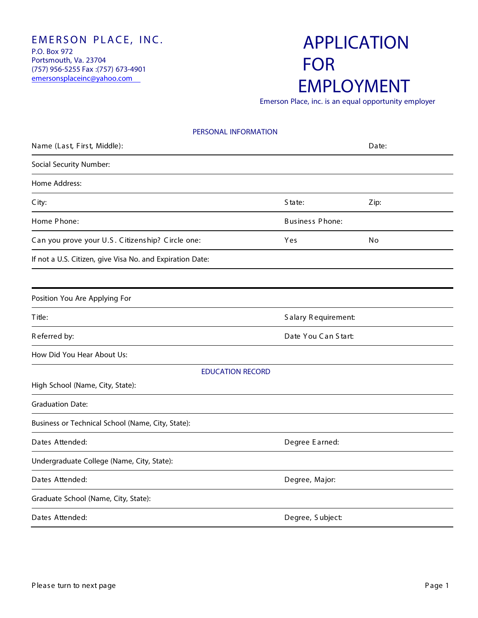#### EMERSON PLACE, INC. P.O. Box 972 Portsmouth, Va. 23704 (757) 956-5255 Fax :(757) 673-4901 emersonsplaceinc@yahoo.com

# APPLICATION FOR EMPLOYMENT

Emerson Place, inc. is an equal opportunity employer

| PERSONAL INFORMATION                                      |                        |       |
|-----------------------------------------------------------|------------------------|-------|
| Name (Last, First, Middle):                               |                        | Date: |
| Social Security Number:                                   |                        |       |
| Home Address:                                             |                        |       |
| C ity:                                                    | State:                 | Zip:  |
| Home Phone:                                               | <b>Business Phone:</b> |       |
| Can you prove your U.S. Citizenship? Circle one:          | Yes                    | No    |
| If not a U.S. Citizen, give Visa No. and Expiration Date: |                        |       |
|                                                           |                        |       |
| Position You Are Applying For                             |                        |       |
| Title:                                                    | Salary Requirement:    |       |
| Referred by:                                              | Date You Can Start:    |       |
| How Did You Hear About Us:                                |                        |       |
| <b>EDUCATION RECORD</b>                                   |                        |       |
| High School (Name, City, State):                          |                        |       |
| <b>Graduation Date:</b>                                   |                        |       |
| Business or Technical School (Name, City, State):         |                        |       |
| Dates Attended:                                           | Degree Earned:         |       |
| Undergraduate College (Name, City, State):                |                        |       |
| Dates Attended:                                           | Degree, Major:         |       |
| Graduate School (Name, City, State):                      |                        |       |
| Dates Attended:                                           | Degree, Subject:       |       |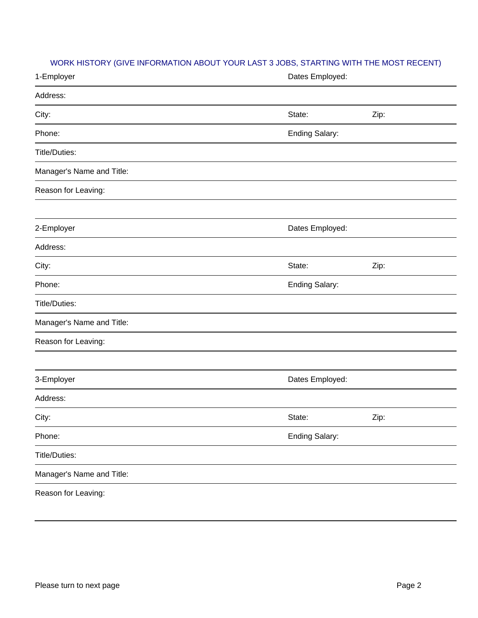## WORK HISTORY (GIVE INFORMATION ABOUT YOUR LAST 3 JOBS, STARTING WITH THE MOST RECENT)

| 1-Employer                | Dates Employed:       |      |  |
|---------------------------|-----------------------|------|--|
| Address:                  |                       |      |  |
| City:                     | State:                | Zip: |  |
| Phone:                    | <b>Ending Salary:</b> |      |  |
| Title/Duties:             |                       |      |  |
| Manager's Name and Title: |                       |      |  |
| Reason for Leaving:       |                       |      |  |
|                           |                       |      |  |
| 2-Employer                | Dates Employed:       |      |  |
| Address:                  |                       |      |  |
| City:                     | State:                | Zip: |  |
| Phone:                    | <b>Ending Salary:</b> |      |  |
| Title/Duties:             |                       |      |  |
| Manager's Name and Title: |                       |      |  |
| Reason for Leaving:       |                       |      |  |
|                           |                       |      |  |
| 3-Employer                | Dates Employed:       |      |  |
| Address:                  |                       |      |  |
| City:                     | State:                | Zip: |  |
| Phone:                    | <b>Ending Salary:</b> |      |  |
| Title/Duties:             |                       |      |  |
| Manager's Name and Title: |                       |      |  |
| Reason for Leaving:       |                       |      |  |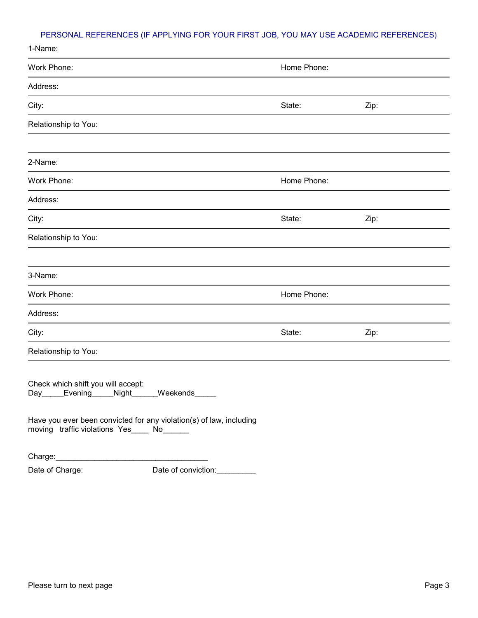## PERSONAL REFERENCES (IF APPLYING FOR YOUR FIRST JOB, YOU MAY USE ACADEMIC REFERENCES)

| 1-Name:                                                                                                                                                                                                                         |             |      |  |
|---------------------------------------------------------------------------------------------------------------------------------------------------------------------------------------------------------------------------------|-------------|------|--|
| Work Phone:                                                                                                                                                                                                                     | Home Phone: |      |  |
| Address:                                                                                                                                                                                                                        |             |      |  |
| City:                                                                                                                                                                                                                           | State:      | Zip: |  |
| Relationship to You:                                                                                                                                                                                                            |             |      |  |
|                                                                                                                                                                                                                                 |             |      |  |
| 2-Name:                                                                                                                                                                                                                         |             |      |  |
| Work Phone:                                                                                                                                                                                                                     | Home Phone: |      |  |
| Address:                                                                                                                                                                                                                        |             |      |  |
| City:                                                                                                                                                                                                                           | State:      | Zip: |  |
| Relationship to You:                                                                                                                                                                                                            |             |      |  |
|                                                                                                                                                                                                                                 |             |      |  |
| 3-Name:                                                                                                                                                                                                                         |             |      |  |
| Work Phone:                                                                                                                                                                                                                     | Home Phone: |      |  |
| Address:                                                                                                                                                                                                                        |             |      |  |
| City:                                                                                                                                                                                                                           | State:      | Zip: |  |
| Relationship to You:                                                                                                                                                                                                            |             |      |  |
| Check which shift you will accept:<br><b>Weekends</b><br>Evening <sub>-</sub><br>Night <sub>_</sub><br>Day<br>Have you ever been convicted for any violation(s) of law, including<br>moving traffic violations Yes____ No______ |             |      |  |
| Charge:                                                                                                                                                                                                                         |             |      |  |

Date of Charge: Date of conviction: